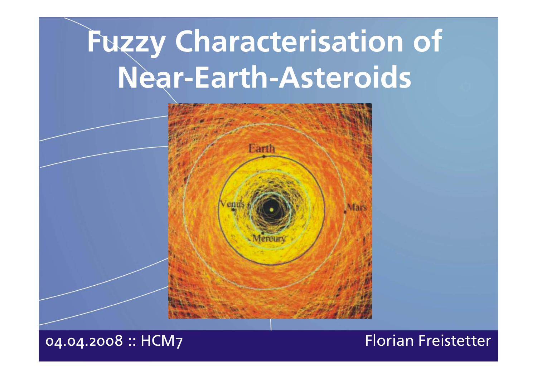# **Fuzzy Characterisation of Near-Earth-Asteroids**



04.04.2008 :: HCM7 Florian Freistetter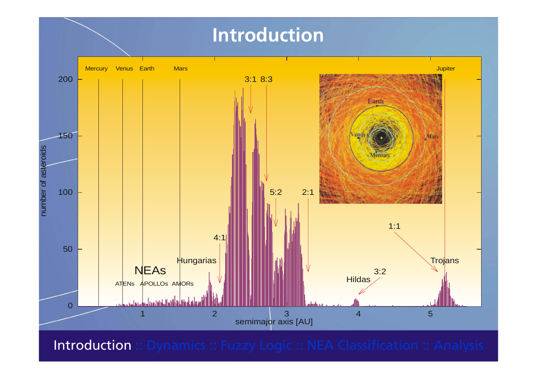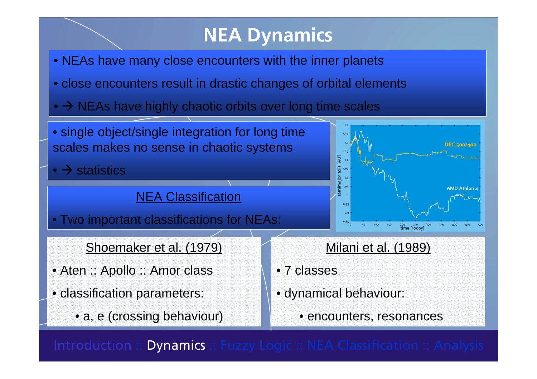## **NEA Dynamics**

- NEAs have many close encounters with the inner planets
- close encounters result in drastic changes of orbital elements
- $\bullet$   $\rightarrow$  NEAs have highly chaotic orbits over long time scales

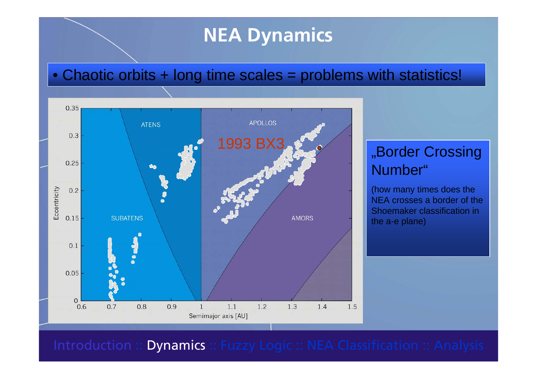### **NEA Dynamics**

### • Chaotic orbits + long time scales = problems with statistics!



### "Border Crossing Number"

(how many times does the NEA crosses a border of theShoemaker classification in the a-e plane)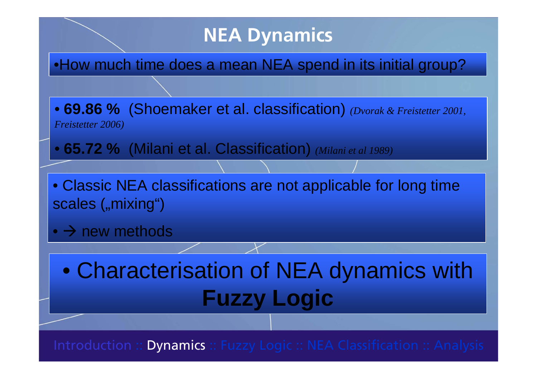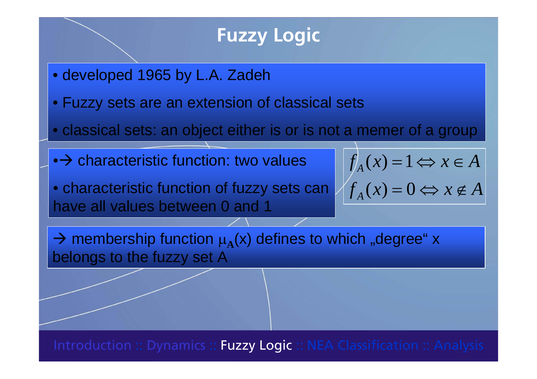### **Fuzzy Logic**

- developed 1965 by L.A. Zadeh
- Fuzzy sets are an extension of classical sets
- classical sets: an object either is or is not a memer of a group
- $\bullet\!\!\rightarrow$  characteristic function: two values  $\qquad \qquad \mid f_{\scriptscriptstyle A}(x) \!=\! 1$
- characteristic function of fuzzy sets can have all values between 0 and 1
- $f_A(x) = 0 \Leftrightarrow x \notin A$  $f_A(x) = 1 \Leftrightarrow x \in A$ *AA*  $= 0 \Leftrightarrow x \notin$  $= 1 \Leftrightarrow x \in$  $(x) = 0$

 $\rightarrow$  membership function  $\mu_A(x)$  defines to which "degree" x belongs to the fuzzy set A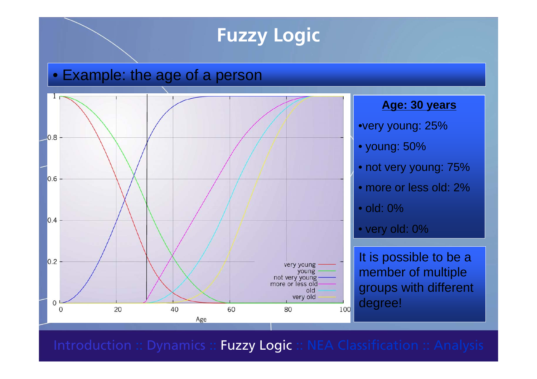### **Fuzzy Logic**

#### •Example: the age of a person

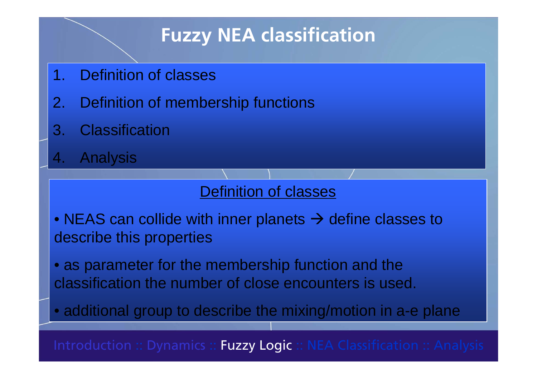- 1. Definition of classes
- 2. Definition of membership functions
- 3. Classification
- 4. Analysis

#### Definition of classes

- NEAS can collide with inner planets  $\rightarrow$  define classes to describe this properties
- as parameter for the membership function and the classification the number of close encounters is used.

• additional group to describe the mixing/motion in a-e plane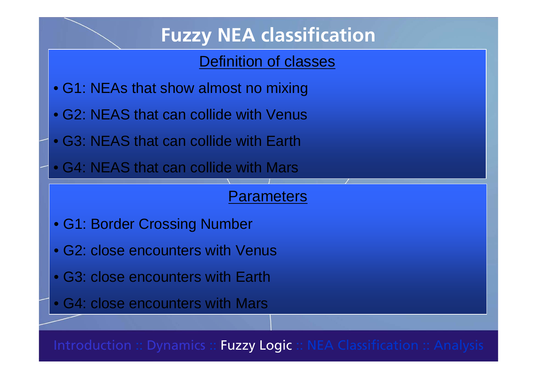### Definition of classes

- G1: NEAs that show almost no mixing
- G2: NEAS that can collide with Venus
- G3: NEAS that can collide with Earth
- G4: NEAS that can collide with Mars

#### Parameters

- G1: Border Crossing Number
- G2: close encounters with Venus
- G3: close encounters with Earth
- G4: close encounters with Mars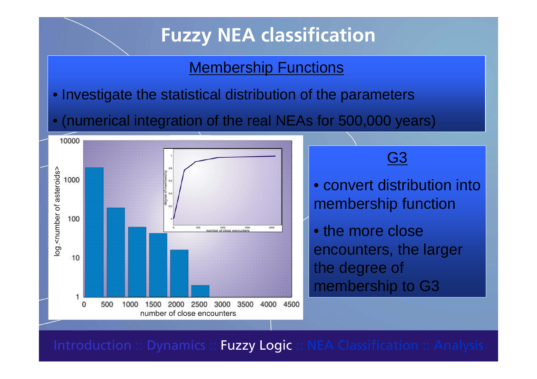#### **Membership Functions**

- Investigate the statistical distribution of the parameters
- •(numerical integration of the real NEAs for 500,000 years)



G3

- convert distribution intomembership function
- the more closeencounters, the larger the degree of membership to G3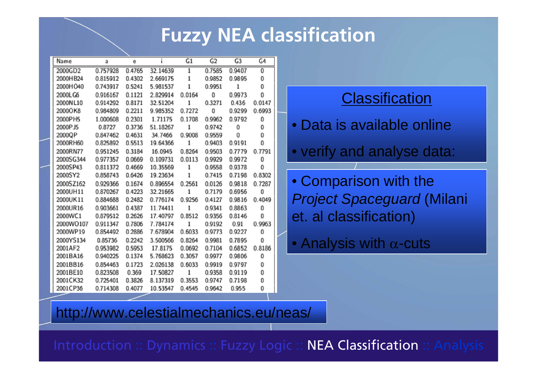| Name      | a        | e      |          | G <sub>1</sub> | G <sub>2</sub> | G3           | G4           |
|-----------|----------|--------|----------|----------------|----------------|--------------|--------------|
| 2000GD2   | 0.757928 | 0.4765 | 32.14639 | 1              | 0.7585         | 0.9407       | $\mathbf{0}$ |
| 2000HB24  | 0.815912 | 0.4302 | 2.669175 | 1              | 0.9852         | 0.9895       | 0            |
| 2000HO40  | 0.743917 | 0.5241 | 5.981537 | $\,1$          | 0.9951         | 1            | 0            |
| 2000LG6   | 0.916167 | 0.1121 | 2.829914 | 0.0164         | 0              | 0.9973       | $\mathbf{0}$ |
| 2000NL10  | 0.914292 | 0.8171 | 32.51204 | 1              | 0.3271         | 0.436        | 0.0147       |
| 2000OK8   | 0.984809 | 0.2211 | 9.985352 | 0.7272         | 0              | 0.9299       | 0.6993       |
| 2000PH5   | 1.000608 | 0.2301 | 1.71175  | 0.1708         | 0.9962         | 0.9792       | 0            |
| 2000PJ5   | 0.8727   | 0.3736 | 51.18267 | 1              | 0.9742         | $\bf{0}$     | 0            |
| 2000QP    | 0.847462 | 0.4631 | 34.7466  | 0.9008         | 0.9559         | $\mathbf{0}$ | 0            |
| 2000RH60  | 0.825892 | 0.5513 | 19.64366 | 1              | 0.9403         | 0.9191       | $\theta$     |
| 2000RN77  | 0.951245 | 0.3184 | 16.0945  | 0.8264         | 0.9503         | 0.7779       | 0.7791       |
| 2000SG344 | 0.977357 | 0.0669 | 0.109731 | 0.0113         | 0.9929         | 0.9972       | 0            |
| 2000SP43  | 0.811372 | 0.4669 | 10.35569 | $\mathbf{1}$   | 0.9558         | 0.9378       | 0            |
| 2000SY2   | 0.858743 | 0.6426 | 19.23634 | $\,1$          | 0.7415         | 0.7198       | 0.8302       |
| 2000SZ162 | 0.929366 | 0.1674 | 0.896554 | 0.2561         | 0.0126         | 0.9818       | 0.7287       |
| 2000UH11  | 0.870267 | 0.4223 | 32.21665 | 1              | 0.7179         | 0.6956       | $\mathbf{0}$ |
| 2000UK11  | 0.884688 | 0.2482 | 0.776174 | 0.9256         | 0.4127         | 0.9816       | 0.4049       |
| 2000UR16  | 0.903661 | 0.4387 | 11.74411 | $\mathbf{1}$   | 0.9341         | 0.8863       | $\mathbf{0}$ |
| 2000WC1   | 0.879512 | 0.2626 | 17.40797 | 0.8512         | 0.9356         | 0.8146       | $\Omega$     |
| 2000WO107 | 0.911347 | 0.7806 | 7.784174 | 1              | 0.9192         | 0.91         | 0.9963       |
| 2000WP19  | 0.854492 | 0.2886 | 7.678904 | 0.6033         | 0.9773         | 0.9227       | $\mathbf{0}$ |
| 2000YS134 | 0.85736  | 0.2242 | 3.500566 | 0.8264         | 0.9981         | 0.7895       | $\mathbf{0}$ |
| 2001AF2   | 0.953982 | 0.5953 | 17.8175  | 0.0692         | 0.7104         | 0.6852       | 0.8186       |
| 2001BA16  | 0.940225 | 0.1374 | 5.768623 | 0.3057         | 0.9977         | 0.9806       | $\bf{0}$     |
| 2001BB16  | 0.854463 | 0.1723 | 2.026138 | 0.6033         | 0.9919         | 0.9797       | 0            |
| 2001BE10  | 0.823508 | 0.369  | 17.50827 | 1              | 0.9358         | 0.9119       | 0            |
| 2001CK32  | 0.725401 | 0.3826 | 8.137319 | 0.3553         | 0.9747         | 0.7198       | 0            |
| 2001CP36  | 0.714308 | 0.4077 | 10.53547 | 0.4545         | 0.9642         | 0.955        | 0            |

#### Classification

• Data is available online

• verify and analyse data:

• Comparison with the *Project Spaceguard* (Milani et. al classification)

 $\bullet$  Analysis with  $\alpha$ -cuts

http://www.celestialmechanics.eu/neas/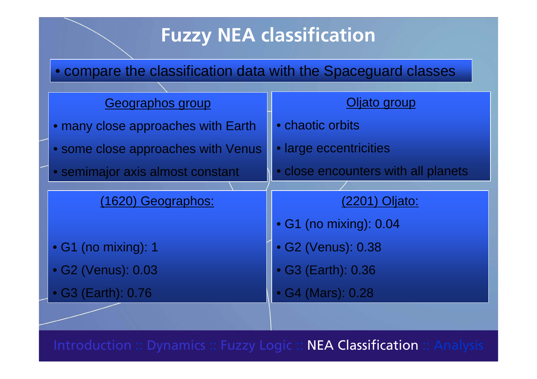#### • compare the classification data with the Spaceguard classes

| Geographos group                   | Oljato group                        |  |  |  |
|------------------------------------|-------------------------------------|--|--|--|
| · many close approaches with Earth | • chaotic orbits                    |  |  |  |
| · some close approaches with Venus | · large eccentricities              |  |  |  |
| • semimajor axis almost constant   | • close encounters with all planets |  |  |  |
|                                    |                                     |  |  |  |
| (1620) Geographos:                 | (2201) Oljato:                      |  |  |  |
|                                    | • G1 (no mixing): 0.04              |  |  |  |
| • G1 (no mixing): 1                | • G2 (Venus): 0.38                  |  |  |  |
| · G2 (Venus): 0.03                 | • G3 (Earth): 0.36                  |  |  |  |
| • G3 (Earth): 0.76                 | • G4 (Mars): 0.28                   |  |  |  |
|                                    |                                     |  |  |  |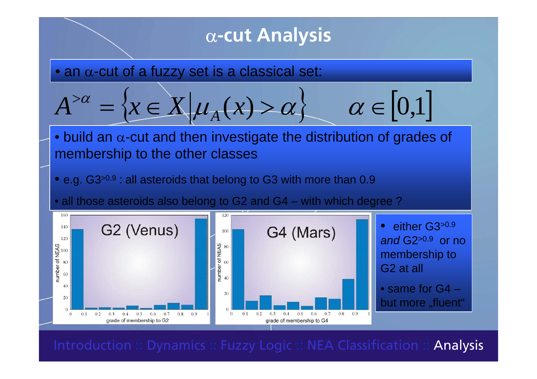#### <sup>α</sup>**-cut Analysis**  $\bullet$  an  $\alpha$ -cut of a fuzzy set is a classical set:  $x \in X | \mu_A(x) > \alpha \}$   $\alpha \in [0,1]$ = $\bullet$  build an  $\alpha$ -cut and then investigate the distribution of grades of membership to the other classes  $\bullet$  e.g. G3>0.9 : all asteroids that belong to G3 with more than 0.9 • all those asteroids also belong to G2 and G4 – with which degree ? 160 either G3>0.9  $\bullet$ G2 (Venus) 140 G4 (Mars) 100 *and* G2>0.9 or no 120 mumber of NEAS<br>  $\frac{8}{3}$ number of NEAS membership to 80 G2 at all 60 40 • same for G4 –20 20 but more "fluent"  $\Omega$  $0.1$  $0.2$  $0.5\qquad 0.6$ 0.7  $0.8\ 0.9$  $0.1$  $0.2$  $0.3$  $0.5$ 0.6 0.7  $0.8\qquad 0.9$  $\theta$ 0.3  $0.4$  $\overline{0}$  $0.4$

Introduction :: Dynamics :: Fuzzy Logic :: NEA Classification :: **Analysis** |

grade of membership to G4

grade of membership to G2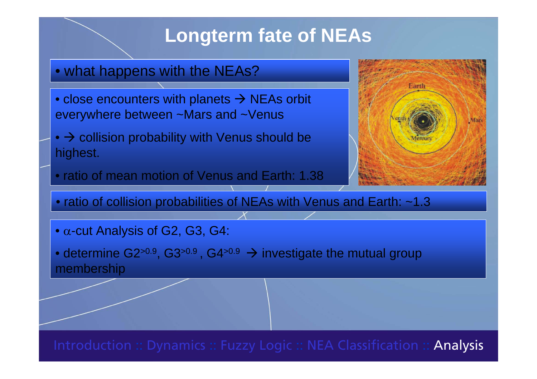## **Longterm fate of NEAs**

- what happens with the NEAs?
- $\bullet$  close encounters with planets  $\rightarrow$  NEAs orbit everywhere between ~Mars and ~Venus
- $\bullet$   $\rightarrow$  collision probability with Venus should be highest.
- ratio of mean motion of Venus and Earth: 1.38



• ratio of collision probabilities of NEAs with Venus and Earth: ~1.3

 $\bullet$   $\alpha$ -cut Analysis of G2, G3, G4:

 $\bullet$  determine G2>0.9, G3>0.9 , G4>0.9  $\,\to$  investigate the mutual group membership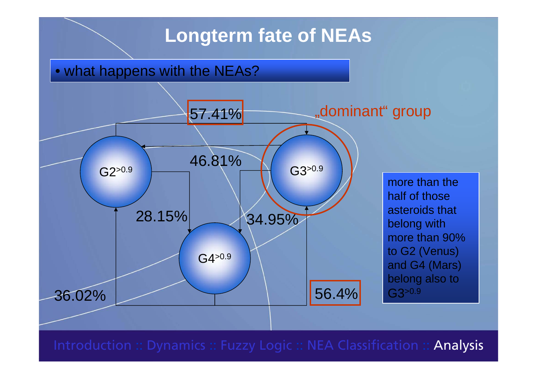### **Longterm fate of NEAs**

• what happens with the NEAs?

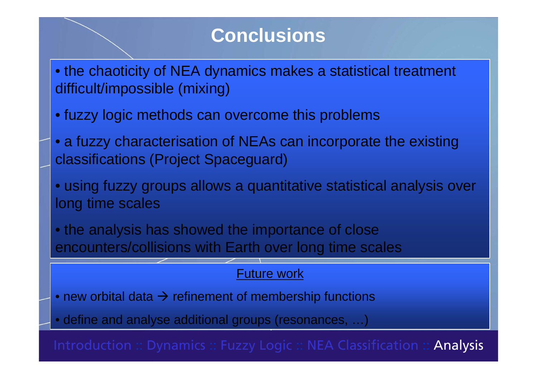### **Conclusions**

- the chaoticity of NEA dynamics makes a statistical treatment difficult/impossible (mixing)
- fuzzy logic methods can overcome this problems
- a fuzzy characterisation of NEAs can incorporate the existing classifications (Project Spaceguard)
- using fuzzy groups allows a quantitative statistical analysis over long time scales

• the analysis has showed the importance of close encounters/collisions with Earth over long time scales

#### Future work

 $\bullet$  new orbital data  $\rightarrow$  refinement of membership functions

• define and analyse additional groups (resonances, …)